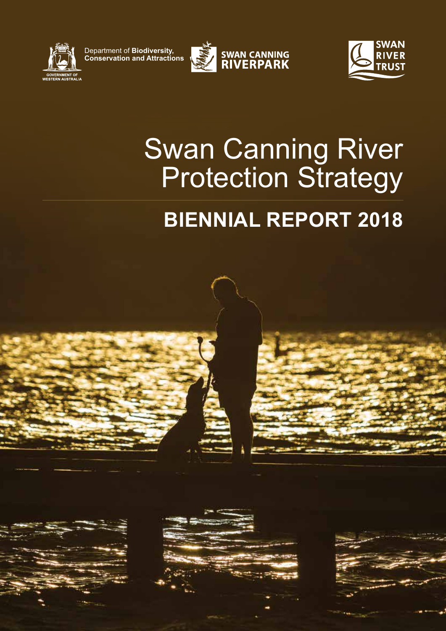

Department of **Biodiversity, Conservation and Attractions**





# Swan Canning River Protection Strategy

## **BIENNIAL REPORT 2018**

Swan Canning River Protection Strategy **Biennial Report 2018 1**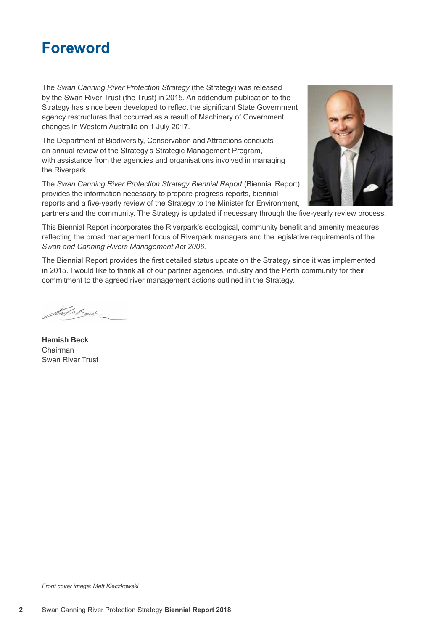### **Foreword**

The *Swan Canning River Protection Strategy* (the Strategy) was released by the Swan River Trust (the Trust) in 2015. An addendum publication to the Strategy has since been developed to reflect the significant State Government agency restructures that occurred as a result of Machinery of Government changes in Western Australia on 1 July 2017.

The Department of Biodiversity, Conservation and Attractions conducts an annual review of the Strategy's Strategic Management Program, with assistance from the agencies and organisations involved in managing the Riverpark.

The *Swan Canning River Protection Strategy Biennial Report* (Biennial Report) provides the information necessary to prepare progress reports, biennial reports and a five-yearly review of the Strategy to the Minister for Environment,



partners and the community. The Strategy is updated if necessary through the five-yearly review process.

This Biennial Report incorporates the Riverpark's ecological, community benefit and amenity measures, reflecting the broad management focus of Riverpark managers and the legislative requirements of the *Swan and Canning Rivers Management Act 2006*.

The Biennial Report provides the first detailed status update on the Strategy since it was implemented in 2015. I would like to thank all of our partner agencies, industry and the Perth community for their commitment to the agreed river management actions outlined in the Strategy.

that about

**Hamish Beck** Chairman Swan River Trust

*Front cover image: Matt Kleczkowski*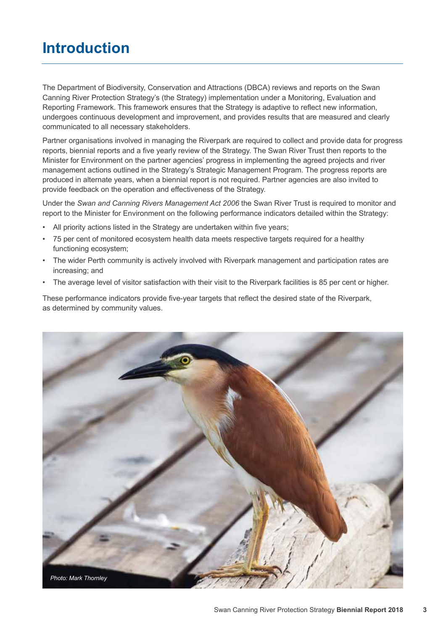### **Introduction**

The Department of Biodiversity, Conservation and Attractions (DBCA) reviews and reports on the Swan Canning River Protection Strategy's (the Strategy) implementation under a Monitoring, Evaluation and Reporting Framework. This framework ensures that the Strategy is adaptive to reflect new information, undergoes continuous development and improvement, and provides results that are measured and clearly communicated to all necessary stakeholders.

Partner organisations involved in managing the Riverpark are required to collect and provide data for progress reports, biennial reports and a five yearly review of the Strategy. The Swan River Trust then reports to the Minister for Environment on the partner agencies' progress in implementing the agreed projects and river management actions outlined in the Strategy's Strategic Management Program. The progress reports are produced in alternate years, when a biennial report is not required. Partner agencies are also invited to provide feedback on the operation and effectiveness of the Strategy.

Under the *Swan and Canning Rivers Management Act 2006* the Swan River Trust is required to monitor and report to the Minister for Environment on the following performance indicators detailed within the Strategy:

- All priority actions listed in the Strategy are undertaken within five years;
- 75 per cent of monitored ecosystem health data meets respective targets required for a healthy functioning ecosystem;
- The wider Perth community is actively involved with Riverpark management and participation rates are increasing; and
- The average level of visitor satisfaction with their visit to the Riverpark facilities is 85 per cent or higher.

These performance indicators provide five-year targets that reflect the desired state of the Riverpark, as determined by community values.

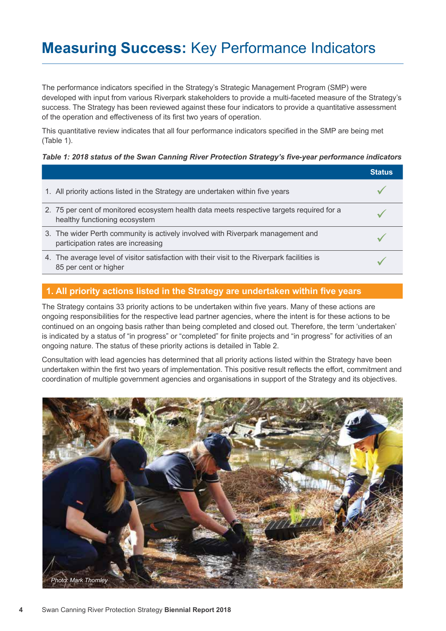### **Measuring Success:** Key Performance Indicators

The performance indicators specified in the Strategy's Strategic Management Program (SMP) were developed with input from various Riverpark stakeholders to provide a multi-faceted measure of the Strategy's success. The Strategy has been reviewed against these four indicators to provide a quantitative assessment of the operation and effectiveness of its first two years of operation.

This quantitative review indicates that all four performance indicators specified in the SMP are being met (Table 1).

#### *Table 1: 2018 status of the Swan Canning River Protection Strategy's five-year performance indicators*

|                                                                                                                            | <b>Status</b> |
|----------------------------------------------------------------------------------------------------------------------------|---------------|
| 1. All priority actions listed in the Strategy are undertaken within five years                                            |               |
| 2. 75 per cent of monitored ecosystem health data meets respective targets required for a<br>healthy functioning ecosystem |               |
| 3. The wider Perth community is actively involved with Riverpark management and<br>participation rates are increasing      |               |
| 4. The average level of visitor satisfaction with their visit to the Riverpark facilities is<br>85 per cent or higher      |               |

#### **1. All priority actions listed in the Strategy are undertaken within five years**

The Strategy contains 33 priority actions to be undertaken within five years. Many of these actions are ongoing responsibilities for the respective lead partner agencies, where the intent is for these actions to be continued on an ongoing basis rather than being completed and closed out. Therefore, the term 'undertaken' is indicated by a status of "in progress" or "completed" for finite projects and "in progress" for activities of an ongoing nature. The status of these priority actions is detailed in Table 2.

Consultation with lead agencies has determined that all priority actions listed within the Strategy have been undertaken within the first two years of implementation. This positive result reflects the effort, commitment and coordination of multiple government agencies and organisations in support of the Strategy and its objectives.

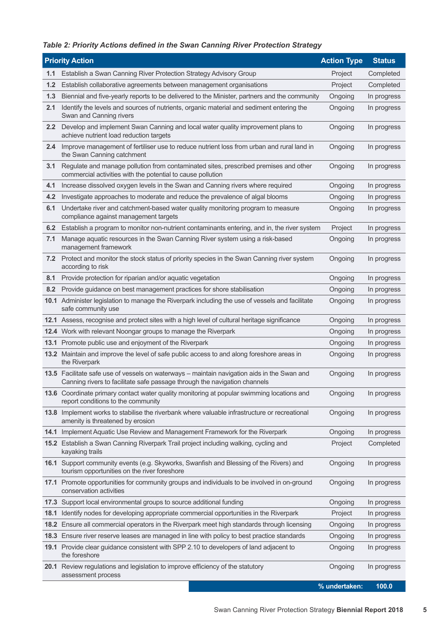#### *Table 2: Priority Actions defined in the Swan Canning River Protection Strategy*

|      | <b>Priority Action</b>                                                                                                                                                   | <b>Action Type</b> | <b>Status</b> |
|------|--------------------------------------------------------------------------------------------------------------------------------------------------------------------------|--------------------|---------------|
| 1.1  | Establish a Swan Canning River Protection Strategy Advisory Group                                                                                                        | Project            | Completed     |
| 1.2  | Establish collaborative agreements between management organisations                                                                                                      | Project            | Completed     |
| 1.3  | Biennial and five-yearly reports to be delivered to the Minister, partners and the community                                                                             | Ongoing            | In progress   |
| 2.1  | Identify the levels and sources of nutrients, organic material and sediment entering the<br>Swan and Canning rivers                                                      | Ongoing            | In progress   |
| 2.2  | Develop and implement Swan Canning and local water quality improvement plans to<br>achieve nutrient load reduction targets                                               | Ongoing            | In progress   |
| 2.4  | Improve management of fertiliser use to reduce nutrient loss from urban and rural land in<br>the Swan Canning catchment                                                  | Ongoing            | In progress   |
| 3.1  | Regulate and manage pollution from contaminated sites, prescribed premises and other<br>commercial activities with the potential to cause pollution                      | Ongoing            | In progress   |
| 4.1  | Increase dissolved oxygen levels in the Swan and Canning rivers where required                                                                                           | Ongoing            | In progress   |
| 4.2  | Investigate approaches to moderate and reduce the prevalence of algal blooms                                                                                             | Ongoing            | In progress   |
| 6.1  | Undertake river and catchment-based water quality monitoring program to measure<br>compliance against management targets                                                 | Ongoing            | In progress   |
| 6.2  | Establish a program to monitor non-nutrient contaminants entering, and in, the river system                                                                              | Project            | In progress   |
| 7.1  | Manage aquatic resources in the Swan Canning River system using a risk-based<br>management framework                                                                     | Ongoing            | In progress   |
| 7.2  | Protect and monitor the stock status of priority species in the Swan Canning river system<br>according to risk                                                           | Ongoing            | In progress   |
| 8.1  | Provide protection for riparian and/or aquatic vegetation                                                                                                                | Ongoing            | In progress   |
| 8.2  | Provide guidance on best management practices for shore stabilisation                                                                                                    | Ongoing            | In progress   |
|      | 10.1 Administer legislation to manage the Riverpark including the use of vessels and facilitate<br>safe community use                                                    | Ongoing            | In progress   |
|      | 12.1 Assess, recognise and protect sites with a high level of cultural heritage significance                                                                             | Ongoing            | In progress   |
|      | 12.4 Work with relevant Noongar groups to manage the Riverpark                                                                                                           | Ongoing            | In progress   |
|      | 13.1 Promote public use and enjoyment of the Riverpark                                                                                                                   | Ongoing            | In progress   |
|      | 13.2 Maintain and improve the level of safe public access to and along foreshore areas in<br>the Riverpark                                                               | Ongoing            | In progress   |
|      | 13.5 Facilitate safe use of vessels on waterways - maintain navigation aids in the Swan and<br>Canning rivers to facilitate safe passage through the navigation channels | Ongoing            | In progress   |
|      | 13.6 Coordinate primary contact water quality monitoring at popular swimming locations and<br>report conditions to the community                                         | Ongoing            | In progress   |
|      | <b>13.8</b> Implement works to stabilise the riverbank where valuable infrastructure or recreational<br>amenity is threatened by erosion                                 | Ongoing            | In progress   |
|      | 14.1 Implement Aquatic Use Review and Management Framework for the Riverpark                                                                                             | Ongoing            | In progress   |
|      | 15.2 Establish a Swan Canning Riverpark Trail project including walking, cycling and<br>kayaking trails                                                                  | Project            | Completed     |
|      | 16.1 Support community events (e.g. Skyworks, Swanfish and Blessing of the Rivers) and<br>tourism opportunities on the river foreshore                                   | Ongoing            | In progress   |
|      | 17.1 Promote opportunities for community groups and individuals to be involved in on-ground<br>conservation activities                                                   | Ongoing            | In progress   |
|      | 17.3 Support local environmental groups to source additional funding                                                                                                     | Ongoing            | In progress   |
| 18.1 | Identify nodes for developing appropriate commercial opportunities in the Riverpark                                                                                      | Project            | In progress   |
| 18.2 | Ensure all commercial operators in the Riverpark meet high standards through licensing                                                                                   | Ongoing            | In progress   |
|      | 18.3 Ensure river reserve leases are managed in line with policy to best practice standards                                                                              | Ongoing            | In progress   |
|      | 19.1 Provide clear guidance consistent with SPP 2.10 to developers of land adjacent to<br>the foreshore                                                                  | Ongoing            | In progress   |
|      | 20.1 Review regulations and legislation to improve efficiency of the statutory<br>assessment process                                                                     | Ongoing            | In progress   |
|      |                                                                                                                                                                          | % undertaken:      | 100.0         |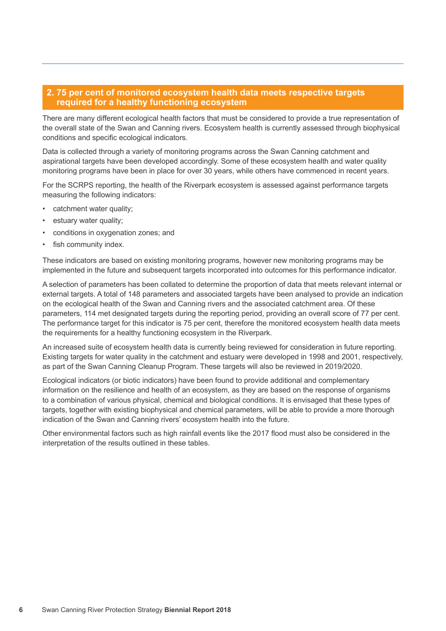#### **2. 75 per cent of monitored ecosystem health data meets respective targets required for a healthy functioning ecosystem**

There are many different ecological health factors that must be considered to provide a true representation of the overall state of the Swan and Canning rivers. Ecosystem health is currently assessed through biophysical conditions and specific ecological indicators.

Data is collected through a variety of monitoring programs across the Swan Canning catchment and aspirational targets have been developed accordingly. Some of these ecosystem health and water quality monitoring programs have been in place for over 30 years, while others have commenced in recent years.

For the SCRPS reporting, the health of the Riverpark ecosystem is assessed against performance targets measuring the following indicators:

- catchment water quality;
- estuary water quality:
- conditions in oxygenation zones; and
- fish community index.

These indicators are based on existing monitoring programs, however new monitoring programs may be implemented in the future and subsequent targets incorporated into outcomes for this performance indicator.

A selection of parameters has been collated to determine the proportion of data that meets relevant internal or external targets. A total of 148 parameters and associated targets have been analysed to provide an indication on the ecological health of the Swan and Canning rivers and the associated catchment area. Of these parameters, 114 met designated targets during the reporting period, providing an overall score of 77 per cent. The performance target for this indicator is 75 per cent, therefore the monitored ecosystem health data meets the requirements for a healthy functioning ecosystem in the Riverpark.

An increased suite of ecosystem health data is currently being reviewed for consideration in future reporting. Existing targets for water quality in the catchment and estuary were developed in 1998 and 2001, respectively, as part of the Swan Canning Cleanup Program. These targets will also be reviewed in 2019/2020.

Ecological indicators (or biotic indicators) have been found to provide additional and complementary information on the resilience and health of an ecosystem, as they are based on the response of organisms to a combination of various physical, chemical and biological conditions. It is envisaged that these types of targets, together with existing biophysical and chemical parameters, will be able to provide a more thorough indication of the Swan and Canning rivers' ecosystem health into the future.

Other environmental factors such as high rainfall events like the 2017 flood must also be considered in the interpretation of the results outlined in these tables.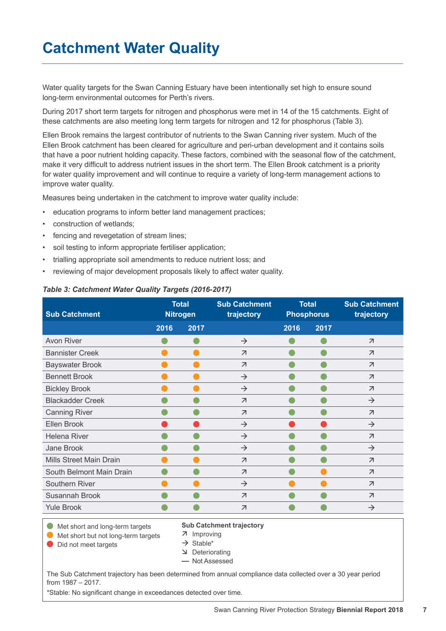### **Catchment Water Quality**

Water quality targets for the Swan Canning Estuary have been intentionally set high to ensure sound long-term environmental outcomes for Perth's rivers.

During 2017 short term targets for nitrogen and phosphorus were met in 14 of the 15 catchments. Eight of these catchments are also meeting long term targets for nitrogen and 12 for phosphorus (Table 3).

Ellen Brook remains the largest contributor of nutrients to the Swan Canning river system. Much of the Ellen Brook catchment has been cleared for agriculture and peri-urban development and it contains soils that have a poor nutrient holding capacity. These factors, combined with the seasonal flow of the catchment, make it very difficult to address nutrient issues in the short term. The Ellen Brook catchment is a priority for water quality improvement and will continue to require a variety of long-term management actions to improve water quality.

Measures being undertaken in the catchment to improve water quality include:

- education programs to inform better land management practices;
- construction of wetlands;
- fencing and revegetation of stream lines;
- soil testing to inform appropriate fertiliser application;
- trialling appropriate soil amendments to reduce nutrient loss; and
- reviewing of major development proposals likely to affect water quality.

#### *Table 3: Catchment Water Quality Targets (2016-2017)*

| <b>Sub Catchment</b>     | <b>Total</b><br><b>Nitrogen</b> |      | <b>Sub Catchment</b><br>trajectory | <b>Total</b><br><b>Phosphorus</b> |      | <b>Sub Catchment</b><br>trajectory |
|--------------------------|---------------------------------|------|------------------------------------|-----------------------------------|------|------------------------------------|
|                          | 2016                            | 2017 |                                    | 2016                              | 2017 |                                    |
| Avon River               |                                 |      | $\rightarrow$                      |                                   |      | $\overline{\mathcal{A}}$           |
| <b>Bannister Creek</b>   |                                 |      | $\overline{\mathcal{A}}$           |                                   |      | $\overline{\mathcal{A}}$           |
| <b>Bayswater Brook</b>   |                                 |      | $\overline{\mathcal{A}}$           |                                   |      | $\overline{\mathcal{A}}$           |
| <b>Bennett Brook</b>     |                                 |      | $\rightarrow$                      |                                   |      | $\overline{\mathcal{A}}$           |
| <b>Bickley Brook</b>     |                                 |      | $\rightarrow$                      |                                   |      | $\overline{\mathcal{L}}$           |
| <b>Blackadder Creek</b>  |                                 |      | $\overline{\mathcal{A}}$           |                                   |      | $\rightarrow$                      |
| <b>Canning River</b>     |                                 |      | $\overline{\mathcal{A}}$           |                                   |      | $\overline{\mathcal{A}}$           |
| Ellen Brook              |                                 |      | $\rightarrow$                      |                                   |      | $\rightarrow$                      |
| Helena River             |                                 |      | $\rightarrow$                      |                                   |      | $\overline{\mathcal{A}}$           |
| Jane Brook               |                                 |      | $\rightarrow$                      |                                   |      | $\rightarrow$                      |
| Mills Street Main Drain  |                                 |      | $\overline{\mathcal{A}}$           |                                   |      | $\overline{\mathcal{A}}$           |
| South Belmont Main Drain |                                 |      | $\overline{\mathcal{A}}$           |                                   |      | $\overline{\mathcal{L}}$           |
| Southern River           |                                 |      | $\rightarrow$                      |                                   |      | $\overline{\mathcal{A}}$           |
| Susannah Brook           |                                 |      | $\overline{\mathcal{L}}$           |                                   |      | $\overline{\mathcal{A}}$           |
| <b>Yule Brook</b>        |                                 |      | $\overline{\mathcal{A}}$           |                                   |      | $\rightarrow$                      |

Met short and long-term targets **Met short but not long-term targets** 

7 Improving

**Sub Catchment trajectory**

● Did not meet targets

- $\rightarrow$  Stable\* **Deteriorating**
- **—** Not Assessed

The Sub Catchment trajectory has been determined from annual compliance data collected over a 30 year period from 1987 – 2017.

\*Stable: No significant change in exceedances detected over time.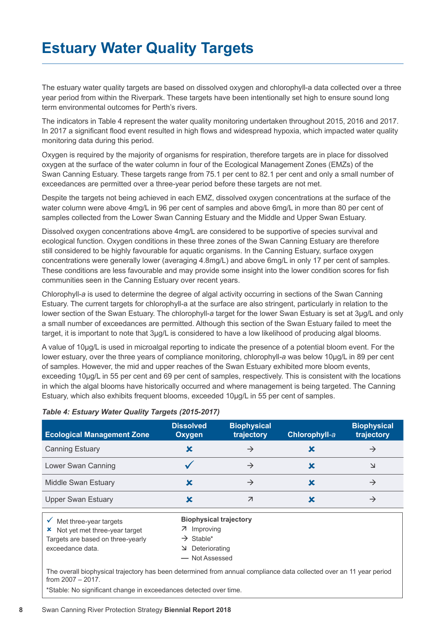### **Estuary Water Quality Targets**

The estuary water quality targets are based on dissolved oxygen and chlorophyll-a data collected over a three year period from within the Riverpark. These targets have been intentionally set high to ensure sound long term environmental outcomes for Perth's rivers.

The indicators in Table 4 represent the water quality monitoring undertaken throughout 2015, 2016 and 2017. In 2017 a significant flood event resulted in high flows and widespread hypoxia, which impacted water quality monitoring data during this period.

Oxygen is required by the majority of organisms for respiration, therefore targets are in place for dissolved oxygen at the surface of the water column in four of the Ecological Management Zones (EMZs) of the Swan Canning Estuary. These targets range from 75.1 per cent to 82.1 per cent and only a small number of exceedances are permitted over a three-year period before these targets are not met.

Despite the targets not being achieved in each EMZ, dissolved oxygen concentrations at the surface of the water column were above 4mg/L in 96 per cent of samples and above 6mg/L in more than 80 per cent of samples collected from the Lower Swan Canning Estuary and the Middle and Upper Swan Estuary.

Dissolved oxygen concentrations above 4mg/L are considered to be supportive of species survival and ecological function. Oxygen conditions in these three zones of the Swan Canning Estuary are therefore still considered to be highly favourable for aquatic organisms. In the Canning Estuary, surface oxygen concentrations were generally lower (averaging 4.8mg/L) and above 6mg/L in only 17 per cent of samples. These conditions are less favourable and may provide some insight into the lower condition scores for fish communities seen in the Canning Estuary over recent years.

Chlorophyll-*a* is used to determine the degree of algal activity occurring in sections of the Swan Canning Estuary. The current targets for chlorophyll-a at the surface are also stringent, particularly in relation to the lower section of the Swan Estuary. The chlorophyll-*a* target for the lower Swan Estuary is set at 3µg/L and only a small number of exceedances are permitted. Although this section of the Swan Estuary failed to meet the target, it is important to note that 3µg/L is considered to have a low likelihood of producing algal blooms.

A value of 10µg/L is used in microalgal reporting to indicate the presence of a potential bloom event. For the lower estuary, over the three years of compliance monitoring, chlorophyll*-a* was below 10µg/L in 89 per cent of samples. However, the mid and upper reaches of the Swan Estuary exhibited more bloom events, exceeding 10µg/L in 55 per cent and 69 per cent of samples, respectively. This is consistent with the locations in which the algal blooms have historically occurred and where management is being targeted. The Canning Estuary, which also exhibits frequent blooms, exceeded 10µg/L in 55 per cent of samples.

| <b>Ecological Management Zone</b> | <b>Dissolved</b><br>Oxygen | <b>Biophysical</b><br>trajectory | Chlorophyll-a | <b>Biophysical</b><br>trajectory |
|-----------------------------------|----------------------------|----------------------------------|---------------|----------------------------------|
| <b>Canning Estuary</b>            | X                          |                                  |               |                                  |
| Lower Swan Canning                |                            |                                  |               | N                                |
| <b>Middle Swan Estuary</b>        |                            |                                  |               | →                                |
| <b>Upper Swan Estuary</b>         | Х                          |                                  |               | $\rightarrow$                    |

#### *Table 4: Estuary Water Quality Targets (2015-2017)*

| Met three-year targets                | <b>Biophysical trajectory</b> |
|---------------------------------------|-------------------------------|
| $\star$ Not yet met three-year target | 7 Improving                   |
| Targets are based on three-yearly     | $\rightarrow$ Stable*         |
| exceedance data.                      | Deteriorating                 |
|                                       | - Not Assessed                |

The overall biophysical trajectory has been determined from annual compliance data collected over an 11 year period from 2007 – 2017.

\*Stable: No significant change in exceedances detected over time.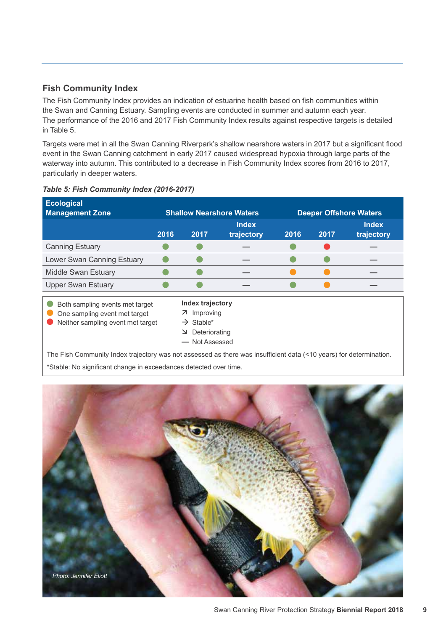#### **Fish Community Index**

The Fish Community Index provides an indication of estuarine health based on fish communities within the Swan and Canning Estuary. Sampling events are conducted in summer and autumn each year. The performance of the 2016 and 2017 Fish Community Index results against respective targets is detailed in Table 5.

Targets were met in all the Swan Canning Riverpark's shallow nearshore waters in 2017 but a significant flood event in the Swan Canning catchment in early 2017 caused widespread hypoxia through large parts of the waterway into autumn. This contributed to a decrease in Fish Community Index scores from 2016 to 2017, particularly in deeper waters.

| <b>Ecological</b><br><b>Management Zone</b>                                                           |      | <b>Shallow Nearshore Waters</b>                                                                           |                            |      | <b>Deeper Offshore Waters</b> |                            |  |
|-------------------------------------------------------------------------------------------------------|------|-----------------------------------------------------------------------------------------------------------|----------------------------|------|-------------------------------|----------------------------|--|
|                                                                                                       | 2016 | 2017                                                                                                      | <b>Index</b><br>trajectory | 2016 | 2017                          | <b>Index</b><br>trajectory |  |
| <b>Canning Estuary</b>                                                                                |      |                                                                                                           |                            |      |                               |                            |  |
| Lower Swan Canning Estuary                                                                            |      |                                                                                                           |                            |      |                               |                            |  |
| <b>Middle Swan Estuary</b>                                                                            |      |                                                                                                           |                            |      |                               |                            |  |
| <b>Upper Swan Estuary</b>                                                                             |      |                                                                                                           |                            |      |                               |                            |  |
| Both sampling events met target<br>One sampling event met target<br>Neither sampling event met target |      | <b>Index trajectory</b><br>7 Improving<br>$\rightarrow$ Stable*<br>Deteriorating<br>_ ע<br>- Not Assessed |                            |      |                               |                            |  |

#### *Table 5: Fish Community Index (2016-2017)*

The Fish Community Index trajectory was not assessed as there was insufficient data (<10 years) for determination. \*Stable: No significant change in exceedances detected over time.

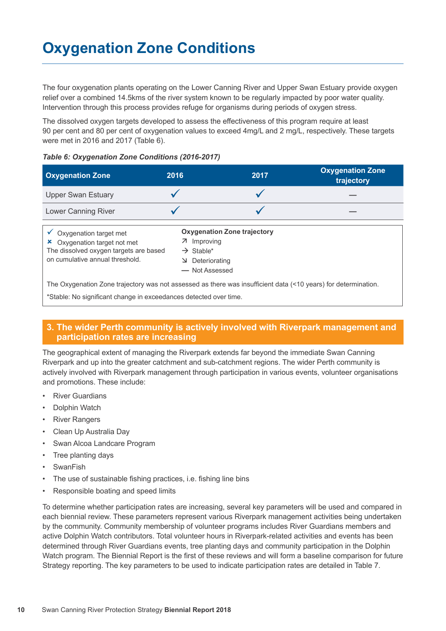The four oxygenation plants operating on the Lower Canning River and Upper Swan Estuary provide oxygen relief over a combined 14.5kms of the river system known to be regularly impacted by poor water quality. Intervention through this process provides refuge for organisms during periods of oxygen stress.

The dissolved oxygen targets developed to assess the effectiveness of this program require at least 90 per cent and 80 per cent of oxygenation values to exceed 4mg/L and 2 mg/L, respectively. These targets were met in 2016 and 2017 (Table 6).

#### *Table 6: Oxygenation Zone Conditions (2016-2017)*

| <b>Oxygenation Zone</b>                                                                                                                        | 2016                  | 2017                                                                                                  | <b>Oxygenation Zone</b><br>trajectory |  |
|------------------------------------------------------------------------------------------------------------------------------------------------|-----------------------|-------------------------------------------------------------------------------------------------------|---------------------------------------|--|
| <b>Upper Swan Estuary</b>                                                                                                                      |                       |                                                                                                       |                                       |  |
| Lower Canning River                                                                                                                            |                       |                                                                                                       |                                       |  |
| $\checkmark$ Oxygenation target met<br>Oxygenation target not met<br>The dissolved oxygen targets are based<br>on cumulative annual threshold. | $\rightarrow$ Stable* | <b>Oxygenation Zone trajectory</b><br>7 Improving<br>$\triangleright$ Deteriorating<br>- Not Assessed |                                       |  |
| The Oxygenation Zone trajectory was not assessed as there was insufficient data (<10 years) for determination.                                 |                       |                                                                                                       |                                       |  |

\*Stable: No significant change in exceedances detected over time.

#### **3. The wider Perth community is actively involved with Riverpark management and participation rates are increasing**

The geographical extent of managing the Riverpark extends far beyond the immediate Swan Canning Riverpark and up into the greater catchment and sub-catchment regions. The wider Perth community is actively involved with Riverpark management through participation in various events, volunteer organisations and promotions. These include:

- **River Guardians**
- Dolphin Watch
- River Rangers
- Clean Up Australia Day
- Swan Alcoa Landcare Program
- Tree planting days
- **SwanFish**
- The use of sustainable fishing practices, i.e. fishing line bins
- Responsible boating and speed limits

To determine whether participation rates are increasing, several key parameters will be used and compared in each biennial review. These parameters represent various Riverpark management activities being undertaken by the community. Community membership of volunteer programs includes River Guardians members and active Dolphin Watch contributors. Total volunteer hours in Riverpark-related activities and events has been determined through River Guardians events, tree planting days and community participation in the Dolphin Watch program. The Biennial Report is the first of these reviews and will form a baseline comparison for future Strategy reporting. The key parameters to be used to indicate participation rates are detailed in Table 7.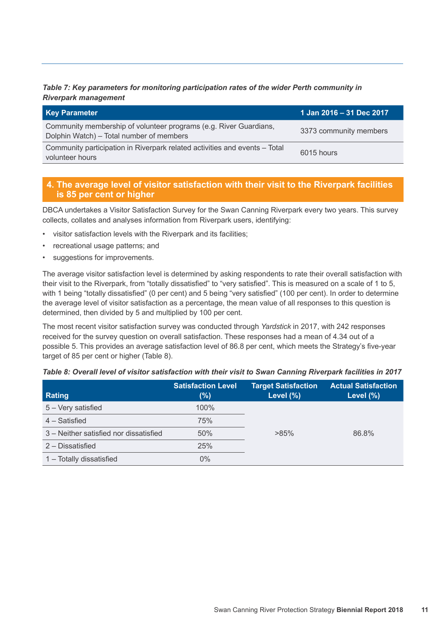#### *Table 7: Key parameters for monitoring participation rates of the wider Perth community in Riverpark management*

| <b>Key Parameter</b>                                                                                          | 1 Jan 2016 - 31 Dec 2017 |
|---------------------------------------------------------------------------------------------------------------|--------------------------|
| Community membership of volunteer programs (e.g. River Guardians,<br>Dolphin Watch) – Total number of members | 3373 community members   |
| Community participation in Riverpark related activities and events - Total<br>volunteer hours                 | 6015 hours               |

#### **4. The average level of visitor satisfaction with their visit to the Riverpark facilities is 85 per cent or higher**

DBCA undertakes a Visitor Satisfaction Survey for the Swan Canning Riverpark every two years. This survey collects, collates and analyses information from Riverpark users, identifying:

- visitor satisfaction levels with the Riverpark and its facilities;
- recreational usage patterns; and
- suggestions for improvements.

The average visitor satisfaction level is determined by asking respondents to rate their overall satisfaction with their visit to the Riverpark, from "totally dissatisfied" to "very satisfied". This is measured on a scale of 1 to 5, with 1 being "totally dissatisfied" (0 per cent) and 5 being "very satisfied" (100 per cent). In order to determine the average level of visitor satisfaction as a percentage, the mean value of all responses to this question is determined, then divided by 5 and multiplied by 100 per cent.

The most recent visitor satisfaction survey was conducted through *Yardstick* in 2017, with 242 responses received for the survey question on overall satisfaction. These responses had a mean of 4.34 out of a possible 5. This provides an average satisfaction level of 86.8 per cent, which meets the Strategy's five-year target of 85 per cent or higher (Table 8).

| Rating                                 | <b>Satisfaction Level</b><br>(%) | <b>Target Satisfaction</b><br>Level (%) | <b>Actual Satisfaction</b><br>Level $(\%)$ |
|----------------------------------------|----------------------------------|-----------------------------------------|--------------------------------------------|
| 5 - Very satisfied                     | 100%                             |                                         |                                            |
| 4 – Satisfied                          | 75%                              |                                         |                                            |
| 3 – Neither satisfied nor dissatisfied | 50%                              | $>85\%$                                 | 86.8%                                      |
| 2 – Dissatisfied                       | 25%                              |                                         |                                            |
| 1 - Totally dissatisfied               | $0\%$                            |                                         |                                            |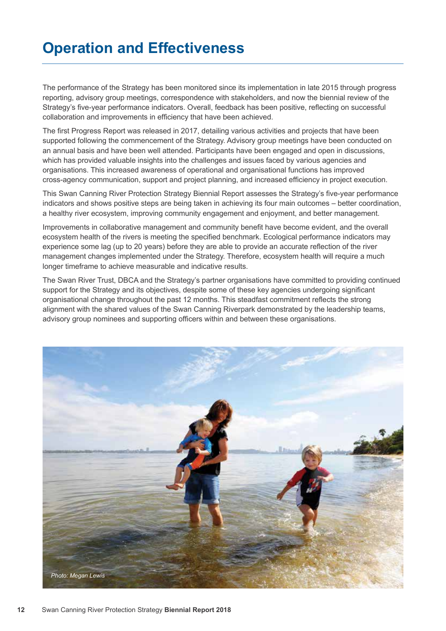### **Operation and Effectiveness**

The performance of the Strategy has been monitored since its implementation in late 2015 through progress reporting, advisory group meetings, correspondence with stakeholders, and now the biennial review of the Strategy's five-year performance indicators. Overall, feedback has been positive, reflecting on successful collaboration and improvements in efficiency that have been achieved.

The first Progress Report was released in 2017, detailing various activities and projects that have been supported following the commencement of the Strategy. Advisory group meetings have been conducted on an annual basis and have been well attended. Participants have been engaged and open in discussions, which has provided valuable insights into the challenges and issues faced by various agencies and organisations. This increased awareness of operational and organisational functions has improved cross-agency communication, support and project planning, and increased efficiency in project execution.

This Swan Canning River Protection Strategy Biennial Report assesses the Strategy's five-year performance indicators and shows positive steps are being taken in achieving its four main outcomes – better coordination, a healthy river ecosystem, improving community engagement and enjoyment, and better management.

Improvements in collaborative management and community benefit have become evident, and the overall ecosystem health of the rivers is meeting the specified benchmark. Ecological performance indicators may experience some lag (up to 20 years) before they are able to provide an accurate reflection of the river management changes implemented under the Strategy. Therefore, ecosystem health will require a much longer timeframe to achieve measurable and indicative results.

The Swan River Trust, DBCA and the Strategy's partner organisations have committed to providing continued support for the Strategy and its objectives, despite some of these key agencies undergoing significant organisational change throughout the past 12 months. This steadfast commitment reflects the strong alignment with the shared values of the Swan Canning Riverpark demonstrated by the leadership teams, advisory group nominees and supporting officers within and between these organisations.

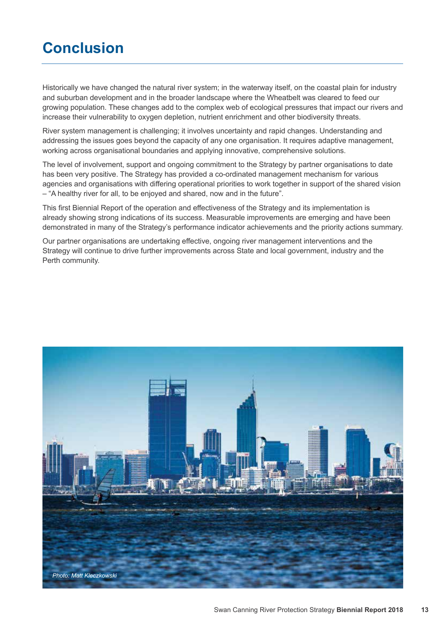### **Conclusion**

Historically we have changed the natural river system; in the waterway itself, on the coastal plain for industry and suburban development and in the broader landscape where the Wheatbelt was cleared to feed our growing population. These changes add to the complex web of ecological pressures that impact our rivers and increase their vulnerability to oxygen depletion, nutrient enrichment and other biodiversity threats.

River system management is challenging; it involves uncertainty and rapid changes. Understanding and addressing the issues goes beyond the capacity of any one organisation. It requires adaptive management, working across organisational boundaries and applying innovative, comprehensive solutions.

The level of involvement, support and ongoing commitment to the Strategy by partner organisations to date has been very positive. The Strategy has provided a co-ordinated management mechanism for various agencies and organisations with differing operational priorities to work together in support of the shared vision – "A healthy river for all, to be enjoyed and shared, now and in the future".

This first Biennial Report of the operation and effectiveness of the Strategy and its implementation is already showing strong indications of its success. Measurable improvements are emerging and have been demonstrated in many of the Strategy's performance indicator achievements and the priority actions summary.

Our partner organisations are undertaking effective, ongoing river management interventions and the Strategy will continue to drive further improvements across State and local government, industry and the Perth community.